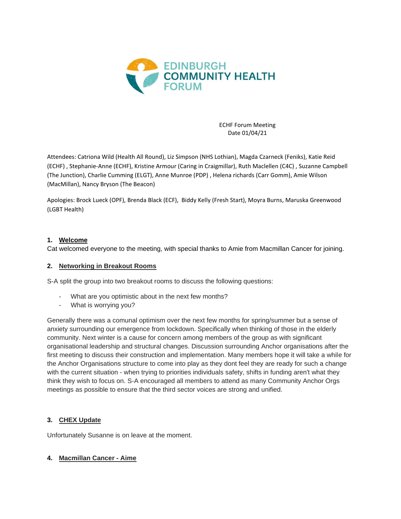

ECHF Forum Meeting Date 01/04/21

Attendees: Catriona Wild (Health All Round), Liz Simpson (NHS Lothian), Magda Czarneck (Feniks), Katie Reid (ECHF) , Stephanie-Anne (ECHF), Kristine Armour (Caring in Craigmillar), Ruth Maclellen (C4C) , Suzanne Campbell (The Junction), Charlie Cumming (ELGT), Anne Munroe (PDP) , Helena richards (Carr Gomm), Amie Wilson (MacMillan), Nancy Bryson (The Beacon)

Apologies: Brock Lueck (OPF), Brenda Black (ECF), Biddy Kelly (Fresh Start), Moyra Burns, Maruska Greenwood (LGBT Health)

### **1. Welcome**

Cat welcomed everyone to the meeting, with special thanks to Amie from Macmillan Cancer for joining.

#### **2. Networking in Breakout Rooms**

S-A split the group into two breakout rooms to discuss the following questions:

- What are you optimistic about in the next few months?
- What is worrying you?

Generally there was a comunal optimism over the next few months for spring/summer but a sense of anxiety surrounding our emergence from lockdown. Specifically when thinking of those in the elderly community. Next winter is a cause for concern among members of the group as with significant organisational leadership and structural changes. Discussion surrounding Anchor organisations after the first meeting to discuss their construction and implementation. Many members hope it will take a while for the Anchor Organisations structure to come into play as they dont feel they are ready for such a change with the current situation - when trying to priorities individuals safety, shifts in funding aren't what they think they wish to focus on. S-A encouraged all members to attend as many Community Anchor Orgs meetings as possible to ensure that the third sector voices are strong and unified.

### **3. CHEX Update**

Unfortunately Susanne is on leave at the moment.

### **4. Macmillan Cancer - Aime**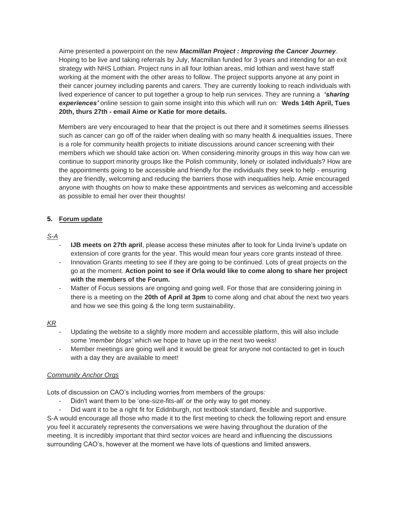Aime presented a powerpoint on the new *Macmillan Project : Improving the Cancer Journey*. Hoping to be live and taking referrals by July, Macmillan funded for 3 years and intending for an exit strategy with NHS Lothian. Project runs in all four lothian areas, mid lothian and west have staff working at the moment with the other areas to follow. The project supports anyone at any point in their cancer journey including parents and carers. They are currently looking to reach individuals with lived experience of cancer to put together a group to help run services. They are running a *'sharing experiences'* online session to gain some insight into this which will run on: **Weds 14th April, Tues 20th, thurs 27th - email Aime or Katie for more details.** 

Members are very encouraged to hear that the project is out there and it sometimes seems illnesses such as cancer can go off of the raider when dealing with so many health & inequalities issues. There is a role for community health projects to initiate discussions around cancer screening with their members which we should take action on. When considering minority groups in this way how can we continue to support minority groups like the Polish community, lonely or isolated individuals? How are the appointments going to be accessible and friendly for the individuals they seek to help - ensuring they are friendly, welcoming and reducing the barriers those with inequalities help. Amie encouraged anyone with thoughts on how to make these appointments and services as welcoming and accessible as possible to email her over their thoughts!

# **5. Forum update**

# *S-A*

- **IJB meets on 27th april**, please access these minutes after to look for Linda Irvine's update on extension of core grants for the year. This would mean four years core grants instead of three.
- Innovation Grants meeting to see if they are going to be continued. Lots of great projects on the go at the moment. **Action point to see if Orla would like to come along to share her project with the members of the Forum.**
- Matter of Focus sessions are ongoing and going well. For those that are considering joining in there is a meeting on the **20th of April at 3pm** to come along and chat about the next two years and how we see this going & the long term sustainability.

# *KR*

- Updating the website to a slightly more modern and accessible platform, this will also include some *'member blogs'* which we hope to have up in the next two weeks!
- Member meetings are going well and it would be great for anyone not contacted to get in touch with a day they are available to meet!

### *Community Anchor Orgs*

Lots of discussion on CAO's including worries from members of the groups*:* 

Didn't want them to be 'one-size-fits-all' or the only way to get money.

- Did want it to be a right fit for Edidnburgh, not textbook standard, flexible and supportive. S-A would encourage all those who made it to the first meeting to check the following report and ensure you feel it accurately represents the conversations we were having throughout the duration of the meeting. It is incredibly important that third sector voices are heard and influencing the discussions surrounding CAO's, however at the moment we have lots of questions and limited answers.